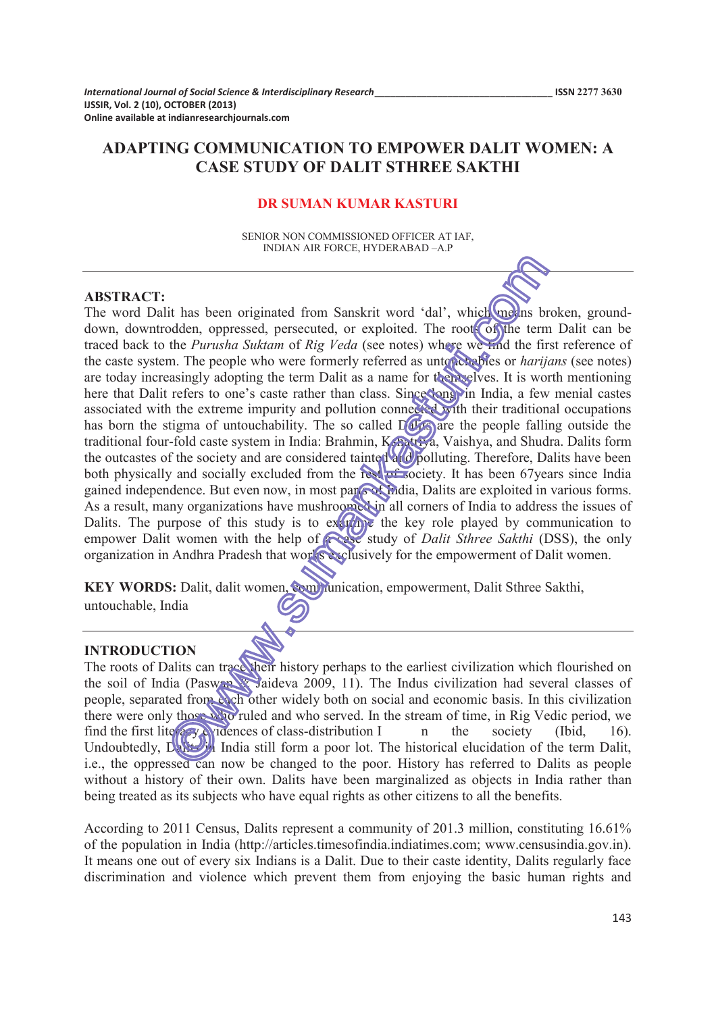# **ADAPTING COMMUNICATION TO EMPOWER DALIT WOMEN: A CASE STUDY OF DALIT STHREE SAKTHI**

#### **DR SUMAN KUMAR KASTURI**

SENIOR NON COMMISSIONED OFFICER AT IAF, INDIAN AIR FORCE, HYDERABAD - A.P

#### **ABSTRACT:**

The word Dalit has been originated from Sanskrit word 'dal', which means broken, grounddown, downtrodden, oppressed, persecuted, or exploited. The roots of the term Dalit can be traced back to the *Purusha Suktam* of *Rig Veda* (see notes) where we find the first reference of the caste system. The people who were formerly referred as untouchables or *harijans* (see notes) are today increasingly adopting the term Dalit as a name for themselves. It is worth mentioning here that Dalit refers to one's caste rather than class. Since **Song** in India, a few menial castes associated with the extreme impurity and pollution connected with their traditional occupations has born the stigma of untouchability. The so called  $D(x)$  are the people falling outside the traditional four-fold caste system in India: Brahmin, Kshatriya, Vaishya, and Shudra. Dalits form the outcastes of the society and are considered tainted and polluting. Therefore, Dalits have been both physically and socially excluded from the rest  $\frac{1}{20}$  society. It has been 67 years since India gained independence. But even now, in most parts of India, Dalits are exploited in various forms. As a result, many organizations have mushroomed in all corners of India to address the issues of Dalits. The purpose of this study is to examine the key role played by communication to empower Dalit women with the help of **a case study** of *Dalit Sthree Sakthi* (DSS), the only organization in Andhra Pradesh that works exclusively for the empowerment of Dalit women.

KEY WORDS: Dalit, dalit women, communication, empowerment, Dalit Sthree Sakthi, untouchable, India

#### **INTRODUCTION**

The roots of Dalits can trace their history perhaps to the earliest civilization which flourished on the soil of India (Paswan Yaideva 2009, 11). The Indus civilization had several classes of people, separated from each other widely both on social and economic basis. In this civilization there were only those who ruled and who served. In the stream of time, in Rig Vedic period, we find the first lite  $\exp(\sqrt{\theta})$  idences of class-distribution I n the society (Ibid, 16). Undoubtedly, David India still form a poor lot. The historical elucidation of the term Dalit, i.e., the oppressed can now be changed to the poor. History has referred to Dalits as people without a history of their own. Dalits have been marginalized as objects in India rather than being treated as its subjects who have equal rights as other citizens to all the benefits.

According to 2011 Census, Dalits represent a community of 201.3 million, constituting 16.61% of the population in India (http://articles.timesofindia.indiatimes.com; www.censusindia.gov.in). It means one out of every six Indians is a Dalit. Due to their caste identity, Dalits regularly face discrimination and violence which prevent them from enjoying the basic human rights and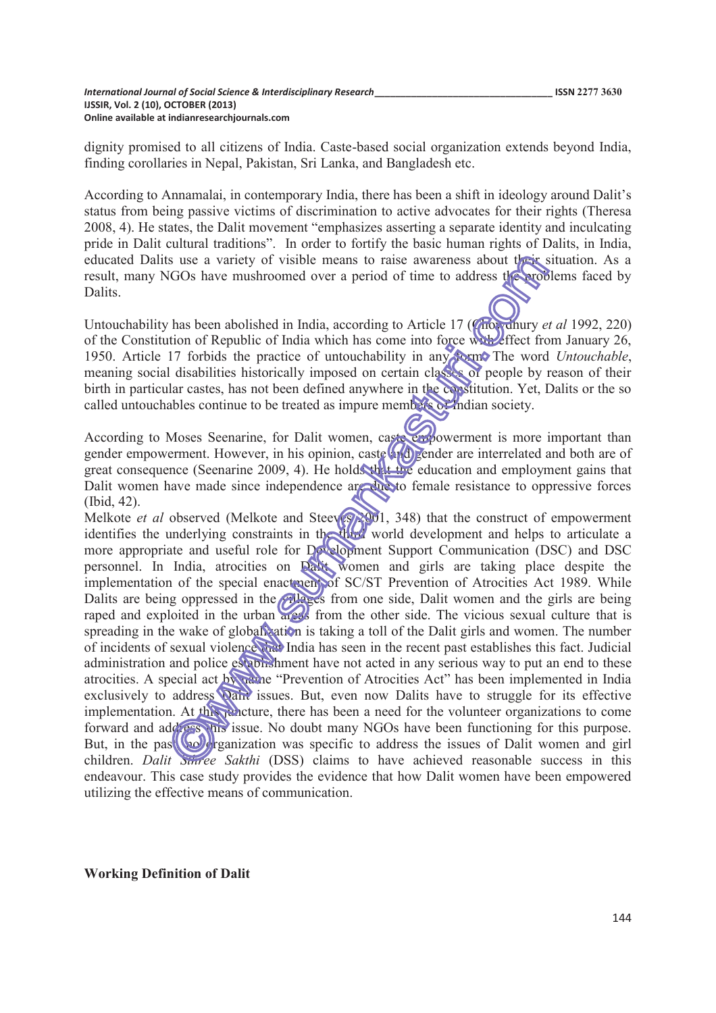dignity promised to all citizens of India. Caste-based social organization extends beyond India, finding corollaries in Nepal, Pakistan, Sri Lanka, and Bangladesh etc.

According to Annamalai, in contemporary India, there has been a shift in ideology around Dalit's status from being passive victims of discrimination to active advocates for their rights (Theresa 2008, 4). He states, the Dalit movement "emphasizes asserting a separate identity and inculcating pride in Dalit cultural traditions". In order to fortify the basic human rights of Dalits, in India, educated Dalits use a variety of visible means to raise awareness about their situation. As a result, many NGOs have mushroomed over a period of time to address the problems faced by Dalits.

Untouchability has been abolished in India, according to Article 17 (Chowdhury *et al* 1992, 220) of the Constitution of Republic of India which has come into force with effect from January 26, 1950. Article 17 forbids the practice of untouchability in any form. The word *Untouchable*, meaning social disabilities historically imposed on certain classes of people by reason of their birth in particular castes, has not been defined anywhere in the constitution. Yet, Dalits or the so called untouchables continue to be treated as impure members of Indian society.

According to Moses Seenarine, for Dalit women, caste empowerment is more important than gender empowerment. However, in his opinion, caste and gender are interrelated and both are of great consequence (Seenarine 2009, 4). He holds that the education and employment gains that Dalit women have made since independence are due to female resistance to oppressive forces (Ibid, 42).

Melkote *et al* observed (Melkote and Steeves 2001, 348) that the construct of empowerment identifies the underlying constraints in the third world development and helps to articulate a more appropriate and useful role for Development Support Communication (DSC) and DSC personnel. In India, atrocities on Davis women and girls are taking place despite the implementation of the special enactment of SC/ST Prevention of Atrocities Act 1989. While Dalits are being oppressed in the villages from one side, Dalit women and the girls are being raped and exploited in the urban areas from the other side. The vicious sexual culture that is spreading in the wake of globalization is taking a toll of the Dalit girls and women. The number of incidents of sexual violence that India has seen in the recent past establishes this fact. Judicial administration and police establishment have not acted in any serious way to put an end to these atrocities. A special act by name "Prevention of Atrocities Act" has been implemented in India exclusively to address **Dair** issues. But, even now Dalits have to struggle for its effective implementation. At this juncture, there has been a need for the volunteer organizations to come forward and address this issue. No doubt many NGOs have been functioning for this purpose. But, in the past, no organization was specific to address the issues of Dalit women and girl children. *Dalit Sthree Sakthi* (DSS) claims to have achieved reasonable success in this endeavour. This case study provides the evidence that how Dalit women have been empowered utilizing the effective means of communication.

**Working Definition of Dalit**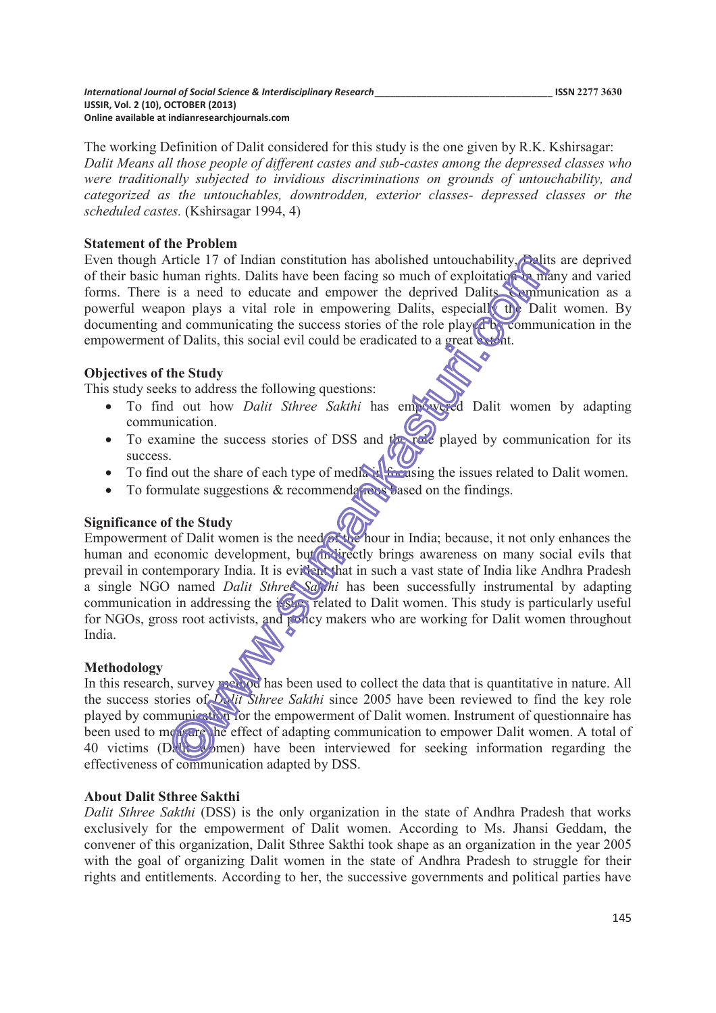The working Definition of Dalit considered for this study is the one given by R.K. Kshirsagar: *Dalit Means all those people of different castes and sub-castes among the depressed classes who were traditionally subjected to invidious discriminations on grounds of untouchability, and categorized as the untouchables, downtrodden, exterior classes- depressed classes or the scheduled castes.* (Kshirsagar 1994, 4)

## **Statement of the Problem**

Even though Article 17 of Indian constitution has abolished untouchability, Dalits are deprived of their basic human rights. Dalits have been facing so much of exploitation in many and varied forms. There is a need to educate and empower the deprived Dalits. Communication as a powerful weapon plays a vital role in empowering Dalits, especially the Dalit women. By documenting and communicating the success stories of the role play  $d^2b$ , communication in the empowerment of Dalits, this social evil could be eradicated to a great extent.

## **Objectives of the Study**

This study seeks to address the following questions:

- · To find out how *Dalit Sthree Sakthi* has empowered Dalit women by adapting communication.
- To examine the success stories of DSS and the role played by communication for its success.
- To find out the share of each type of media in focusing the issues related to Dalit women.
- To formulate suggestions  $&$  recommendations based on the findings.

## **Significance of the Study**

Empowerment of Dalit women is the need of the hour in India; because, it not only enhances the human and economic development, but indirectly brings awareness on many social evils that prevail in contemporary India. It is evident that in such a vast state of India like Andhra Pradesh a single NGO named *Dalit Sthree Sakthi* has been successfully instrumental by adapting communication in addressing the issues related to Dalit women. This study is particularly useful for NGOs, gross root activists, and policy makers who are working for Dalit women throughout India.

## **Methodology**

In this research, survey method has been used to collect the data that is quantitative in nature. All the success stories of *Dalit Sthree Sakthi* since 2005 have been reviewed to find the key role played by communication for the empowerment of Dalit women. Instrument of questionnaire has been used to measure the effect of adapting communication to empower Dalit women. A total of 40 victims (Dalit women) have been interviewed for seeking information regarding the effectiveness of communication adapted by DSS.

## **About Dalit Sthree Sakthi**

*Dalit Sthree Sakthi* (DSS) is the only organization in the state of Andhra Pradesh that works exclusively for the empowerment of Dalit women. According to Ms. Jhansi Geddam, the convener of this organization, Dalit Sthree Sakthi took shape as an organization in the year 2005 with the goal of organizing Dalit women in the state of Andhra Pradesh to struggle for their rights and entitlements. According to her, the successive governments and political parties have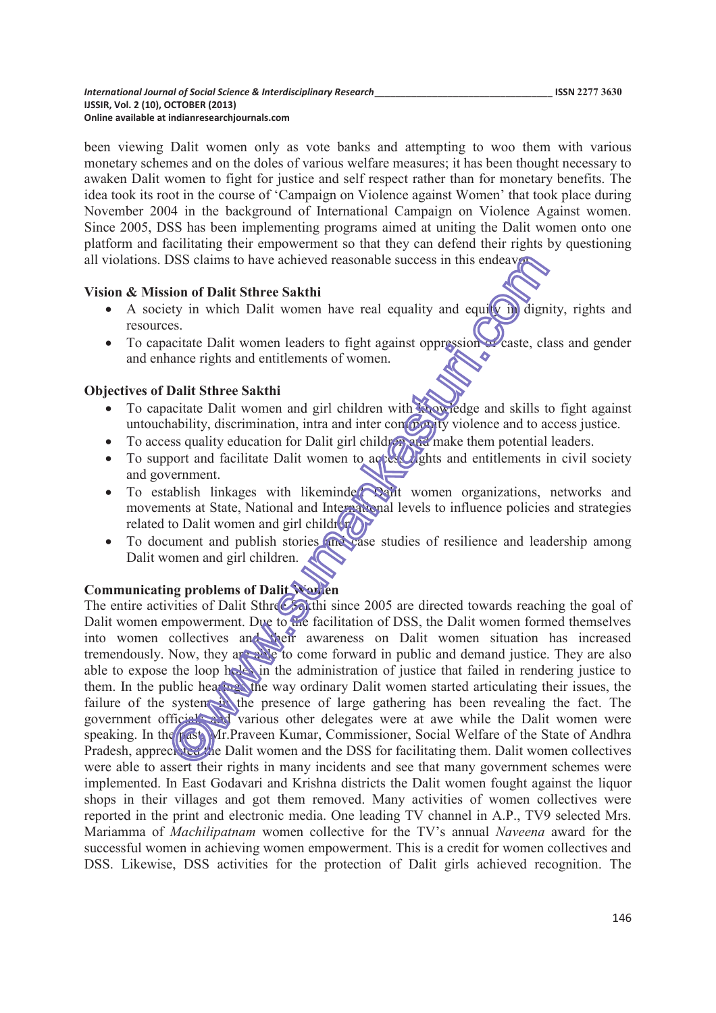been viewing Dalit women only as vote banks and attempting to woo them with various monetary schemes and on the doles of various welfare measures; it has been thought necessary to awaken Dalit women to fight for justice and self respect rather than for monetary benefits. The idea took its root in the course of 'Campaign on Violence against Women' that took place during November 2004 in the background of International Campaign on Violence Against women. Since 2005, DSS has been implementing programs aimed at uniting the Dalit women onto one platform and facilitating their empowerment so that they can defend their rights by questioning all violations. DSS claims to have achieved reasonable success in this endeavor.

## **Vision & Mission of Dalit Sthree Sakthi**

- A society in which Dalit women have real equality and equity in dignity, rights and resources.
- To capacitate Dalit women leaders to fight against oppression of caste, class and gender and enhance rights and entitlements of women.

#### **Objectives of Dalit Sthree Sakthi**

- To capacitate Dalit women and girl children with knowledge and skills to fight against untouchability, discrimination, intra and inter computer violence and to access justice.
- To access quality education for Dalit girl children and make them potential leaders.
- To support and facilitate Dalit women to access lights and entitlements in civil society and government.
- To establish linkages with likeminder Dant women organizations, networks and movements at State, National and International levels to influence policies and strategies related to Dalit women and girl children.
- To document and publish stories (increase studies of resilience and leadership among Dalit women and girl children.

## **Communicating problems of Dalit Women**

The entire activities of Dalit Sthree Sakthi since 2005 are directed towards reaching the goal of Dalit women empowerment. Due to the facilitation of DSS, the Dalit women formed themselves into women collectives and their awareness on Dalit women situation has increased tremendously. Now, they are able to come forward in public and demand justice. They are also able to expose the loop holes in the administration of justice that failed in rendering justice to them. In the public hearing the way ordinary Dalit women started articulating their issues, the failure of the system in the presence of large gathering has been revealing the fact. The government officials and various other delegates were at awe while the Dalit women were speaking. In the past, Mr.Praveen Kumar, Commissioner, Social Welfare of the State of Andhra Pradesh, appreciated the Dalit women and the DSS for facilitating them. Dalit women collectives were able to assert their rights in many incidents and see that many government schemes were implemented. In East Godavari and Krishna districts the Dalit women fought against the liquor shops in their villages and got them removed. Many activities of women collectives were reported in the print and electronic media. One leading TV channel in A.P., TV9 selected Mrs. Mariamma of *Machilipatnam* women collective for the TV's annual *Naveena* award for the successful women in achieving women empowerment. This is a credit for women collectives and DSS. Likewise, DSS activities for the protection of Dalit girls achieved recognition. The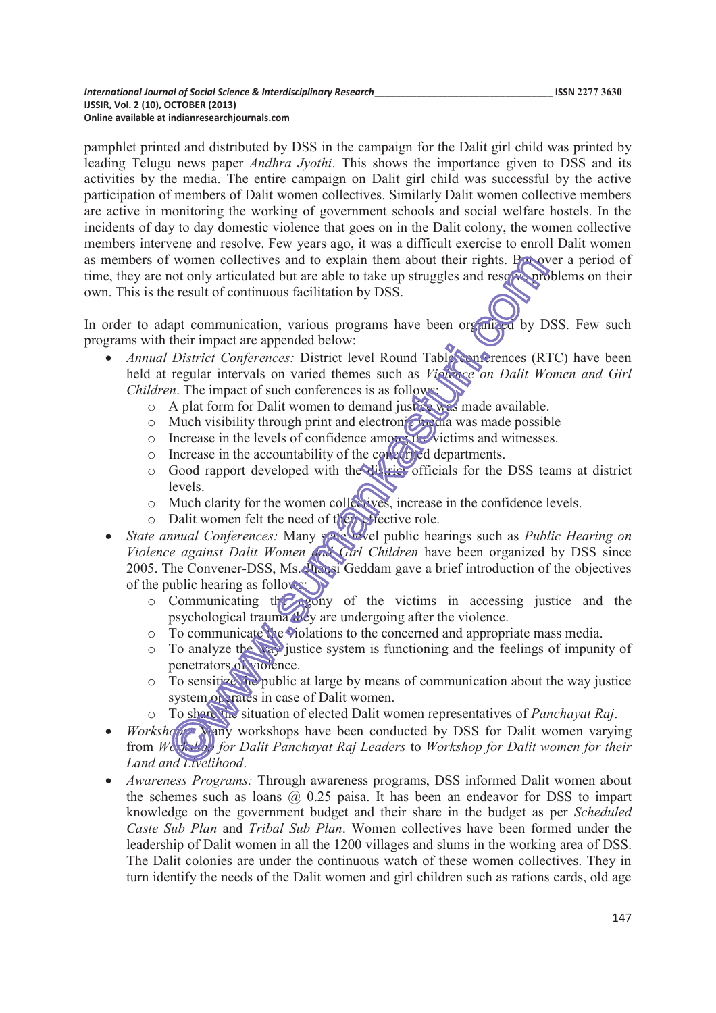pamphlet printed and distributed by DSS in the campaign for the Dalit girl child was printed by leading Telugu news paper *Andhra Jyothi*. This shows the importance given to DSS and its activities by the media. The entire campaign on Dalit girl child was successful by the active participation of members of Dalit women collectives. Similarly Dalit women collective members are active in monitoring the working of government schools and social welfare hostels. In the incidents of day to day domestic violence that goes on in the Dalit colony, the women collective members intervene and resolve. Few years ago, it was a difficult exercise to enroll Dalit women as members of women collectives and to explain them about their rights. But over a period of time, they are not only articulated but are able to take up struggles and resolve problems on their own. This is the result of continuous facilitation by DSS.

In order to adapt communication, various programs have been organized by DSS. Few such programs with their impact are appended below:

- · *Annual District Conferences:* District level Round Table conferences (RTC) have been held at regular intervals on varied themes such as *Violence on Dalit Women and Girl Children*. The impact of such conferences is as follows:
	- o A plat form for Dalit women to demand justice was made available.
	- $\circ$  Much visibility through print and electronic media was made possible
	- o Increase in the levels of confidence among the victims and witnesses.
	- o Increase in the accountability of the concerned departments.
	- o Good rapport developed with the district officials for the DSS teams at district levels.
	- o Much clarity for the women collectives, increase in the confidence levels.
	- $\circ$  Dalit women felt the need of the reflective role.
- *State annual Conferences:* Many space level public hearings such as *Public Hearing on* Violence against Dalit Women **and Girl** Children have been organized by DSS since 2005. The Convener-DSS, Ms. Jhansi Geddam gave a brief introduction of the objectives of the public hearing as follows:
	- $\circ$  Communicating the agony of the victims in accessing justice and the psychological trauma they are undergoing after the violence.
	- o To communicate the violations to the concerned and appropriate mass media.
	- o To analyze the way justice system is functioning and the feelings of impunity of penetrators of violence.
	- o To sensitize the public at large by means of communication about the way justice system operates in case of Dalit women.
	- o To share the situation of elected Dalit women representatives of *Panchayat Raj*.
- *Workshops:* Nany workshops have been conducted by DSS for Dalit women varying from *Workshop for Dalit Panchayat Raj Leaders* to *Workshop for Dalit women for their Land and Livelihood*.
- · *Awareness Programs:* Through awareness programs, DSS informed Dalit women about the schemes such as loans  $\omega$  0.25 paisa. It has been an endeavor for DSS to impart knowledge on the government budget and their share in the budget as per *Scheduled Caste Sub Plan* and *Tribal Sub Plan*. Women collectives have been formed under the leadership of Dalit women in all the 1200 villages and slums in the working area of DSS. The Dalit colonies are under the continuous watch of these women collectives. They in turn identify the needs of the Dalit women and girl children such as rations cards, old age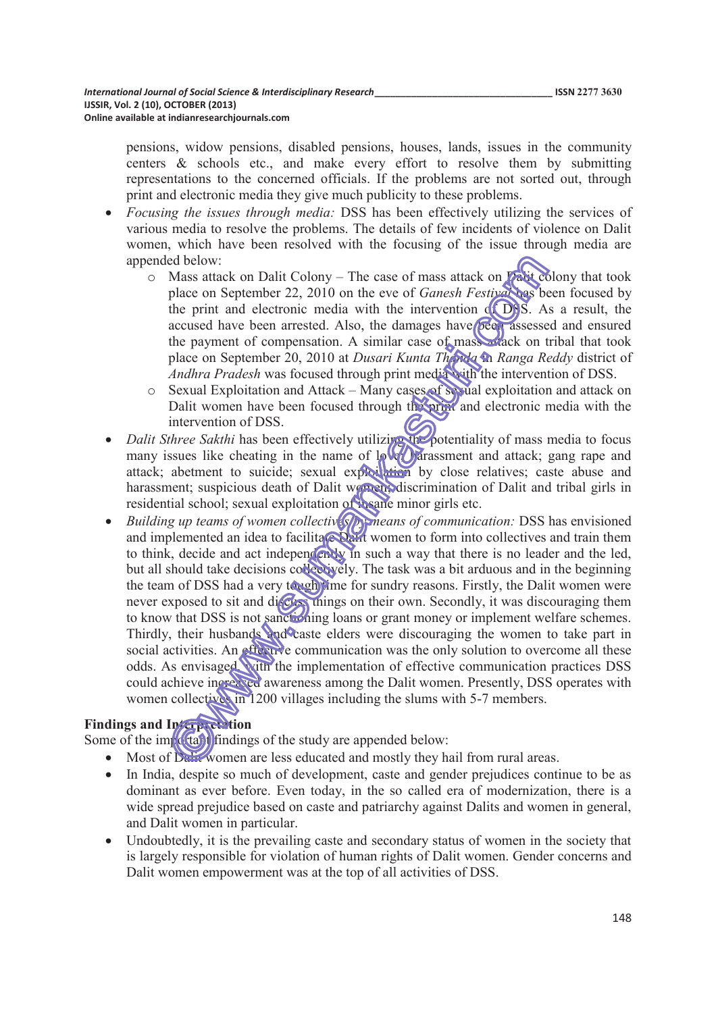pensions, widow pensions, disabled pensions, houses, lands, issues in the community centers & schools etc., and make every effort to resolve them by submitting representations to the concerned officials. If the problems are not sorted out, through print and electronic media they give much publicity to these problems.

- · *Focusing the issues through media:* DSS has been effectively utilizing the services of various media to resolve the problems. The details of few incidents of violence on Dalit women, which have been resolved with the focusing of the issue through media are appended below:
	- $\circ$  Mass attack on Dalit Colony The case of mass attack on Dalit colony that took place on September 22, 2010 on the eve of *Ganesh Festival* has been focused by the print and electronic media with the intervention  $\alpha$  DSS. As a result, the accused have been arrested. Also, the damages have been assessed and ensured the payment of compensation. A similar case of mass attack on tribal that took place on September 20, 2010 at *Dusari Kunta Thanda* in *Ranga Reddy* district of *Andhra Pradesh* was focused through print media with the intervention of DSS.
	- $\circ$  Sexual Exploitation and Attack Many cases of sexual exploitation and attack on Dalit women have been focused through the print and electronic media with the intervention of DSS.
- *Dalit Sthree Sakthi* has been effectively utilizing the potentiality of mass media to focus many issues like cheating in the name of  $\log$  arassment and attack; gang rape and attack; abetment to suicide; sexual exploration by close relatives; caste abuse and harassment; suspicious death of Dalit women; discrimination of Dalit and tribal girls in residential school; sexual exploitation of insane minor girls etc.
- · *Building up teams of women collectives by means of communication:* DSS has envisioned and implemented an idea to facilitate Dalit women to form into collectives and train them to think, decide and act independently in such a way that there is no leader and the led, but all should take decisions collectively. The task was a bit arduous and in the beginning the team of DSS had a very tought ime for sundry reasons. Firstly, the Dalit women were never exposed to sit and discuss things on their own. Secondly, it was discouraging them to know that DSS is not sanctioning loans or grant money or implement welfare schemes. Thirdly, their husbands and caste elders were discouraging the women to take part in social activities. An effective communication was the only solution to overcome all these odds. As envisaged, with the implementation of effective communication practices DSS could achieve increased awareness among the Dalit women. Presently, DSS operates with women collectives in 1200 villages including the slums with 5-7 members.

# **Findings and Interpretation**

Some of the important findings of the study are appended below:

- Most of Dality women are less educated and mostly they hail from rural areas.
- In India, despite so much of development, caste and gender prejudices continue to be as dominant as ever before. Even today, in the so called era of modernization, there is a wide spread prejudice based on caste and patriarchy against Dalits and women in general, and Dalit women in particular.
- Undoubtedly, it is the prevailing caste and secondary status of women in the society that is largely responsible for violation of human rights of Dalit women. Gender concerns and Dalit women empowerment was at the top of all activities of DSS.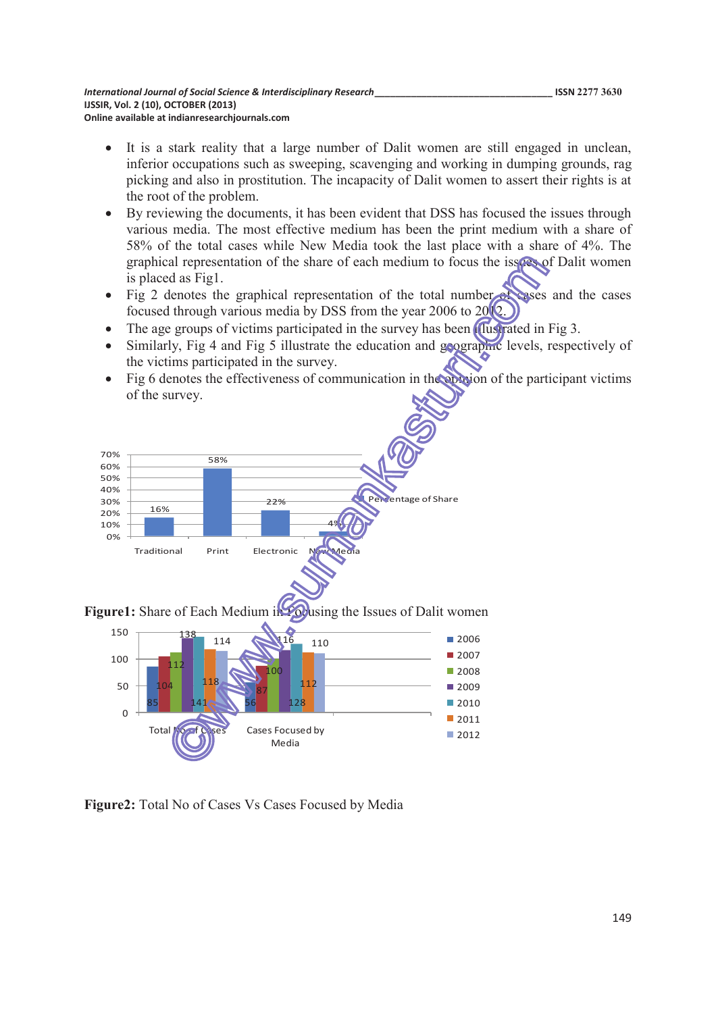- It is a stark reality that a large number of Dalit women are still engaged in unclean, inferior occupations such as sweeping, scavenging and working in dumping grounds, rag picking and also in prostitution. The incapacity of Dalit women to assert their rights is at the root of the problem.
- By reviewing the documents, it has been evident that DSS has focused the issues through various media. The most effective medium has been the print medium with a share of 58% of the total cases while New Media took the last place with a share of 4%. The graphical representation of the share of each medium to focus the issues of Dalit women is placed as Fig1.
- Fig 2 denotes the graphical representation of the total number of cases and the cases focused through various media by DSS from the year 2006 to 2012.
- The age groups of victims participated in the survey has been *fullstrated* in Fig 3.
- Similarly, Fig 4 and Fig 5 illustrate the education and geographic levels, respectively of the victims participated in the survey.
- Fig 6 denotes the effectiveness of communication in the option of the participant victims of the survey.



**Figure1:** Share of Each Medium in Following the Issues of Dalit women



**Figure2:** Total No of Cases Vs Cases Focused by Media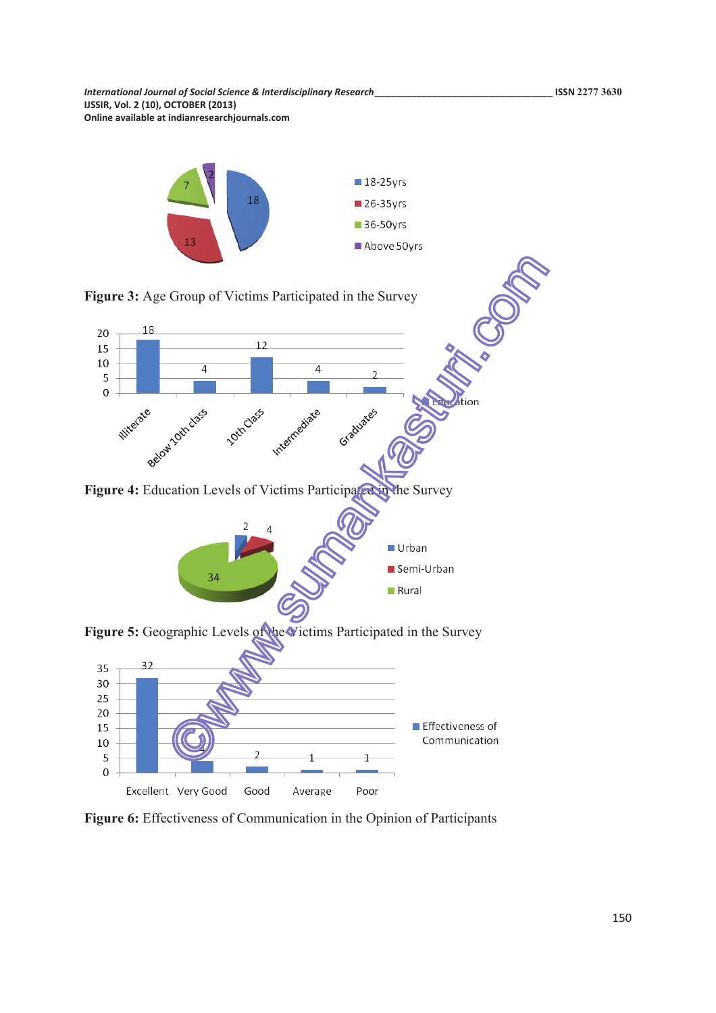

**Figure 6:** Effectiveness of Communication in the Opinion of Participants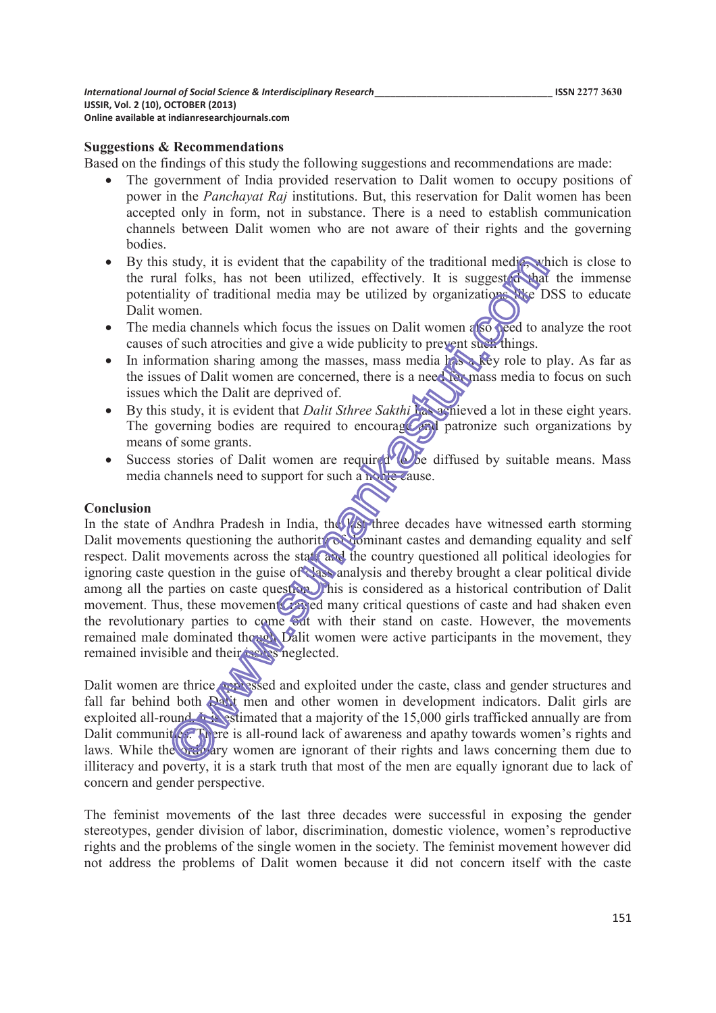#### **Suggestions & Recommendations**

Based on the findings of this study the following suggestions and recommendations are made:

- · The government of India provided reservation to Dalit women to occupy positions of power in the *Panchayat Raj* institutions. But, this reservation for Dalit women has been accepted only in form, not in substance. There is a need to establish communication channels between Dalit women who are not aware of their rights and the governing bodies.
- By this study, it is evident that the capability of the traditional media, which is close to the rural folks, has not been utilized, effectively. It is suggested that the immense potentiality of traditional media may be utilized by organizations like DSS to educate Dalit women.
- The media channels which focus the issues on Dalit women also need to analyze the root causes of such atrocities and give a wide publicity to prevent such things.
- In information sharing among the masses, mass media  $h$  is a key role to play. As far as the issues of Dalit women are concerned, there is a need for mass media to focus on such issues which the Dalit are deprived of.
- · By this study, it is evident that *Dalit Sthree Sakthi* has achieved a lot in these eight years. The governing bodies are required to encourage and patronize such organizations by means of some grants.
- Success stories of Dalit women are required to be diffused by suitable means. Mass media channels need to support for such a noble cause.

#### **Conclusion**

In the state of Andhra Pradesh in India, the  $\frac{1}{\sqrt{2}}$  three decades have witnessed earth storming Dalit movements questioning the authority of dominant castes and demanding equality and self respect. Dalit movements across the state and the country questioned all political ideologies for ignoring caste question in the guise of class analysis and thereby brought a clear political divide among all the parties on caste question. This is considered as a historical contribution of Dalit movement. Thus, these movement  $\mathcal{C}$  raised many critical questions of caste and had shaken even the revolutionary parties to come out with their stand on caste. However, the movements remained male dominated though Dalit women were active participants in the movement, they remained invisible and their issues neglected.

Dalit women are thrice oppressed and exploited under the caste, class and gender structures and fall far behind both Dalit men and other women in development indicators. Dalit girls are exploited all-round. It is estimated that a majority of the 15,000 girls trafficked annually are from Dalit communit es. There is all-round lack of awareness and apathy towards women's rights and laws. While the ordinary women are ignorant of their rights and laws concerning them due to illiteracy and poverty, it is a stark truth that most of the men are equally ignorant due to lack of concern and gender perspective.

The feminist movements of the last three decades were successful in exposing the gender stereotypes, gender division of labor, discrimination, domestic violence, women's reproductive rights and the problems of the single women in the society. The feminist movement however did not address the problems of Dalit women because it did not concern itself with the caste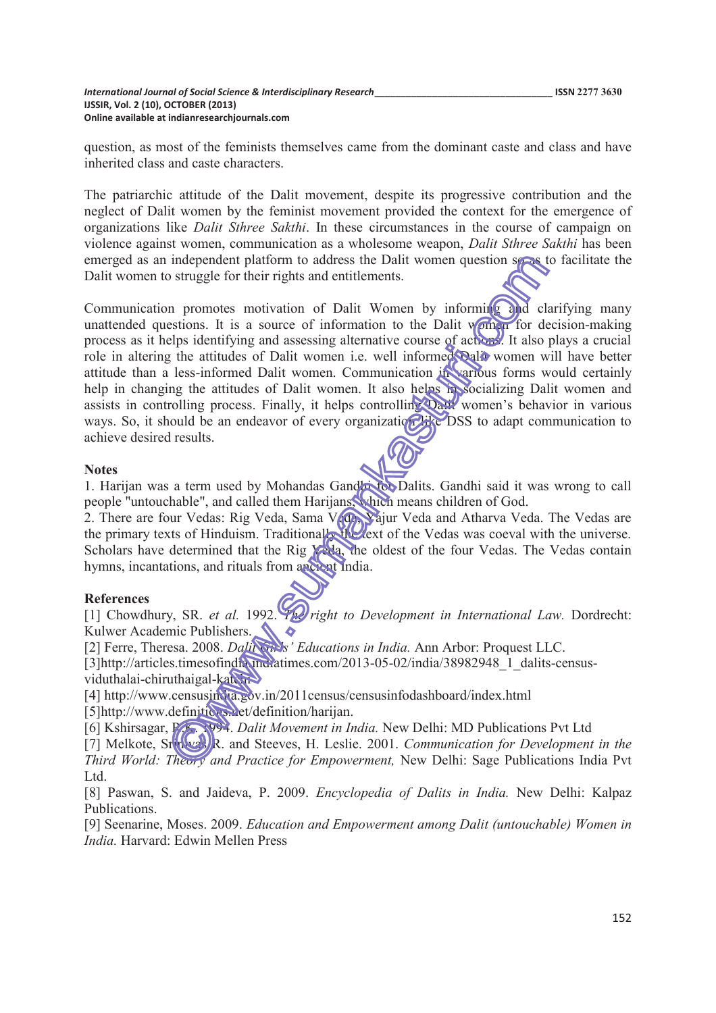question, as most of the feminists themselves came from the dominant caste and class and have inherited class and caste characters.

The patriarchic attitude of the Dalit movement, despite its progressive contribution and the neglect of Dalit women by the feminist movement provided the context for the emergence of organizations like *Dalit Sthree Sakthi*. In these circumstances in the course of campaign on violence against women, communication as a wholesome weapon, *Dalit Sthree Sakthi* has been emerged as an independent platform to address the Dalit women question so as to facilitate the Dalit women to struggle for their rights and entitlements.

Communication promotes motivation of Dalit Women by informing and clarifying many unattended questions. It is a source of information to the Dalit  $\sqrt{\sin \omega}$  for decision-making process as it helps identifying and assessing alternative course of actions. It also plays a crucial role in altering the attitudes of Dalit women i.e. well informed Dalit women will have better attitude than a less-informed Dalit women. Communication in various forms would certainly help in changing the attitudes of Dalit women. It also helps in socializing Dalit women and assists in controlling process. Finally, it helps controlling Dalit women's behavior in various ways. So, it should be an endeavor of every organization like DSS to adapt communication to achieve desired results.

#### **Notes**

1. Harijan was a term used by Mohandas Gandhi for Dalits. Gandhi said it was wrong to call people "untouchable", and called them Harijans, which means children of God.

2. There are four Vedas: Rig Veda, Sama V<sub>ide</sub>, Vajur Veda and Atharva Veda. The Vedas are the primary texts of Hinduism. Traditionally the text of the Vedas was coeval with the universe. Scholars have determined that the Rig Veda, the oldest of the four Vedas. The Vedas contain hymns, incantations, and rituals from ancient India.

#### **References**

[1] Chowdhury, SR. *et al.* 1992. *The right to Development in International Law.* Dordrecht: Kulwer Academic Publishers.  $\bullet$ 

[2] Ferre, Theresa. 2008. *Dalit Girlsí Educations in India.* Ann Arbor: Proquest LLC.

[3]http://articles.timesofindia.unclearings.com/2013-05-02/india/38982948\_1\_dalits-censusviduthalai-chiruthaigal-katerra

[4] http://www.censusindia.gov.in/2011census/censusinfodashboard/index.html

[5]http://www.definitions.net/definition/harijan.

[6] Kshirsagar, R.K. 1994. *Dalit Movement in India.* New Delhi: MD Publications Pvt Ltd

[7] Melkote, Srin**ival, R.** and Steeves, H. Leslie. 2001. *Communication for Development in the Third World: Theory and Practice for Empowerment,* New Delhi: Sage Publications India Pvt Ltd.

[8] Paswan, S. and Jaideva, P. 2009. *Encyclopedia of Dalits in India.* New Delhi: Kalpaz Publications.

[9] Seenarine, Moses. 2009. *Education and Empowerment among Dalit (untouchable) Women in India.* Harvard: Edwin Mellen Press